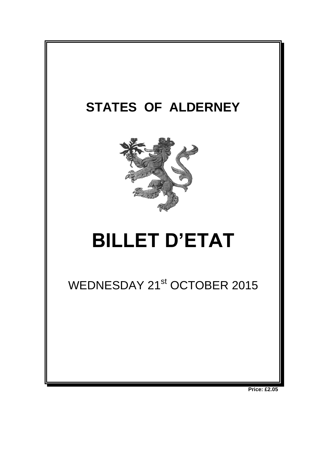

**Price: £2.05**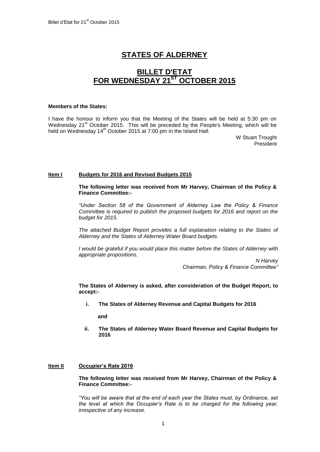# **STATES OF ALDERNEY**

## **BILLET D'ETAT FOR WEDNESDAY 21ST OCTOBER 2015**

#### **Members of the States:**

I have the honour to inform you that the Meeting of the States will be held at 5:30 pm on Wednesday  $21^{st}$  October 2015. This will be preceded by the People's Meeting, which will be held on Wednesday 14<sup>th</sup> October 2015 at 7:00 pm in the Island Hall.

> W Stuart Trought President

## **Item I Budgets for 2016 and Revised Budgets 2015**

**The following letter was received from Mr Harvey, Chairman of the Policy & Finance Committee:-**

*"Under Section 58 of the Government of Alderney Law the Policy & Finance Committee is required to publish the proposed budgets for 2016 and report on the budget for 2015.* 

*The attached Budget Report provides a full explanation relating to the States of Alderney and the States of Alderney Water Board budgets.*

*I would be grateful if you would place this matter before the States of Alderney with appropriate propositions.*

> *N Harvey Chairman, Policy & Finance Committee"*

**The States of Alderney is asked, after consideration of the Budget Report, to accept:-**

**i. The States of Alderney Revenue and Capital Budgets for 2016**

**and**

**ii. The States of Alderney Water Board Revenue and Capital Budgets for 2016**

## **Item II Occupier's Rate 2016**

**The following letter was received from Mr Harvey, Chairman of the Policy & Finance Committee:-**

*"You will be aware that at the end of each year the States must, by Ordinance, set the level at which the Occupier's Rate is to be charged for the following year, irrespective of any increase.*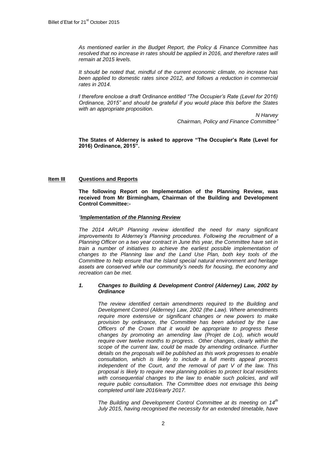*As mentioned earlier in the Budget Report, the Policy & Finance Committee has resolved that no increase in rates should be applied in 2016, and therefore rates will remain at 2015 levels.* 

*It should be noted that, mindful of the current economic climate, no increase has been applied to domestic rates since 2012, and follows a reduction in commercial rates in 2014.*

*I therefore enclose a draft Ordinance entitled "The Occupier's Rate (Level for 2016) Ordinance, 2015" and should be grateful if you would place this before the States with an appropriate proposition.*

> *N Harvey Chairman, Policy and Finance Committee"*

**The States of Alderney is asked to approve "The Occupier's Rate (Level for 2016) Ordinance, 2015".**

## **Item III Questions and Reports**

**The following Report on Implementation of the Planning Review, was received from Mr Birmingham, Chairman of the Building and Development Control Committee:-**

#### *"Implementation of the Planning Review*

*The 2014 ARUP Planning review identified the need for many significant improvements to Alderney's Planning procedures. Following the recruitment of a Planning Officer on a two year contract in June this year, the Committee have set in train a number of initiatives to achieve the earliest possible implementation of changes to the Planning law and the Land Use Plan, both key tools of the Committee to help ensure that the Island special natural environment and heritage assets are conserved while our community's needs for housing, the economy and recreation can be met.* 

### *1. Changes to Building & Development Control (Alderney) Law, 2002 by Ordinance*

*The review identified certain amendments required to the Building and Development Control (Alderney) Law, 2002 (the Law). Where amendments require more extensive or significant changes or new powers to make provision by ordinance, the Committee has been advised by the Law Officers of the Crown that it would be appropriate to progress these changes by promoting an amending law (Projet de Loi), which would require over twelve months to progress. Other changes, clearly within the scope of the current law, could be made by amending ordinance. Further details on the proposals will be published as this work progresses to enable consultation, which is likely to include a full merits appeal process independent of the Court, and the removal of part V of the law. This proposal is likely to require new planning policies to protect local residents with consequential changes to the law to enable such policies, and will require public consultation. The Committee does not envisage this being completed until late 2016/early 2017.* 

*The Building and Development Control Committee at its meeting on 14th July 2015, having recognised the necessity for an extended timetable, have*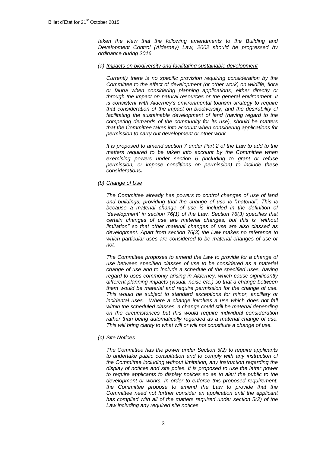*taken the view that the following amendments to the Building and Development Control (Alderney) Law, 2002 should be progressed by ordinance during 2016.*

#### *(a) Impacts on biodiversity and facilitating sustainable development*

*Currently there is no specific provision requiring consideration by the Committee to the effect of development (or other work) on wildlife, flora or fauna when considering planning applications, either directly or through the impact on natural resources or the general environment. It is consistent with Alderney's environmental tourism strategy to require that consideration of the impact on biodiversity, and the desirability of facilitating the sustainable development of land (having regard to the competing demands of the community for its use), should be matters that the Committee takes into account when considering applications for permission to carry out development or other work.*

*It is proposed to amend section 7 under Part 2 of the Law to add to the matters required to be taken into account by the Committee when exercising powers under section 6 (including to grant or refuse permission, or impose conditions on permission) to include these considerations.*

*(b) Change of Use*

*The Committee already has powers to control changes of use of land and buildings, providing that the change of use is "material". This is because a material change of use is included in the definition of 'development' in section 76(1) of the Law. Section 76(3) specifies that certain changes of use are material changes, but this is "without limitation" so that other material changes of use are also classed as development. Apart from section 76(3) the Law makes no reference to which particular uses are considered to be material changes of use or not.*

*The Committee proposes to amend the Law to provide for a change of use between specified classes of use to be considered as a material change of use and to include a schedule of the specified uses, having regard to uses commonly arising in Alderney, which cause significantly different planning impacts (visual, noise etc.) so that a change between them would be material and require permission for the change of use. This would be subject to standard exceptions for minor, ancillary or incidental uses. Where a change involves a use which does not fall within the scheduled classes, a change could still be material depending on the circumstances but this would require individual consideration rather than being automatically regarded as a material change of use. This will bring clarity to what will or will not constitute a change of use.*

*(c) Site Notices*

*The Committee has the power under Section 5(2) to require applicants to undertake public consultation and to comply with any instruction of the Committee including without limitation, any instruction regarding the display of notices and site poles. It is proposed to use the latter power to require applicants to display notices so as to alert the public to the development or works. In order to enforce this proposed requirement, the Committee propose to amend the Law to provide that the Committee need not further consider an application until the applicant has complied with all of the matters required under section 5(2) of the Law including any required site notices.*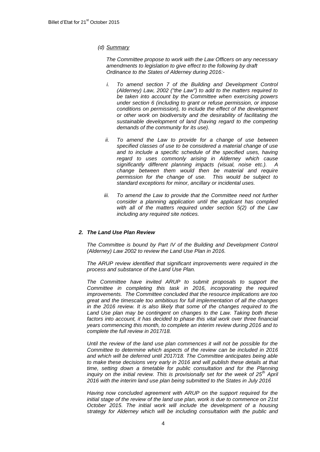#### *(d) Summary*

*The Committee propose to work with the Law Officers on any necessary amendments to legislation to give effect to the following by draft Ordinance to the States of Alderney during 2016:-*

- *i. To amend section 7 of the Building and Development Control (Alderney) Law, 2002 ("the Law") to add to the matters required to be taken into account by the Committee when exercising powers under section 6 (including to grant or refuse permission, or impose conditions on permission), to include the effect of the development or other work on biodiversity and the desirability of facilitating the sustainable development of land (having regard to the competing demands of the community for its use).*
- *ii. To amend the Law to provide for a change of use between specified classes of use to be considered a material change of use and to include a specific schedule of the specified uses, having regard to uses commonly arising in Alderney which cause significantly different planning impacts (visual, noise etc.). A change between them would then be material and require permission for the change of use. This would be subject to standard exceptions for minor, ancillary or incidental uses.*
- *iii. To amend the Law to provide that the Committee need not further consider a planning application until the applicant has complied with all of the matters required under section 5(2) of the Law including any required site notices.*

## *2. The Land Use Plan Review*

*The Committee is bound by Part IV of the Building and Development Control (Alderney) Law 2002 to review the Land Use Plan in 2016.* 

*The ARUP review identified that significant improvements were required in the process and substance of the Land Use Plan.* 

*The Committee have invited ARUP to submit proposals to support the Committee in completing this task in 2016, incorporating the required improvements. The Committee concluded that the resource implications are too great and the timescale too ambitious for full implementation of all the changes in the 2016 review. It is also likely that some of the changes required to the Land Use plan may be contingent on changes to the Law. Taking both these*  factors into account, it has decided to phase this vital work over three financial *years commencing this month, to complete an interim review during 2016 and to complete the full review in 2017/18.*

*Until the review of the land use plan commences it will not be possible for the Committee to determine which aspects of the review can be included in 2016 and which will be deferred until 2017/18. The Committee anticipates being able to make these decisions very early in 2016 and will publish these details at that*  time, setting down a timetable for public consultation and for the Planning *inquiry on the initial review. This is provisionally set for the week of 25th April 2016 with the interim land use plan being submitted to the States in July 2016* 

*Having now concluded agreement with ARUP on the support required for the initial stage of the review of the land use plan, work is due to commence on 21st October 2015. The initial work will include the development of a housing strategy for Alderney which will be including consultation with the public and*